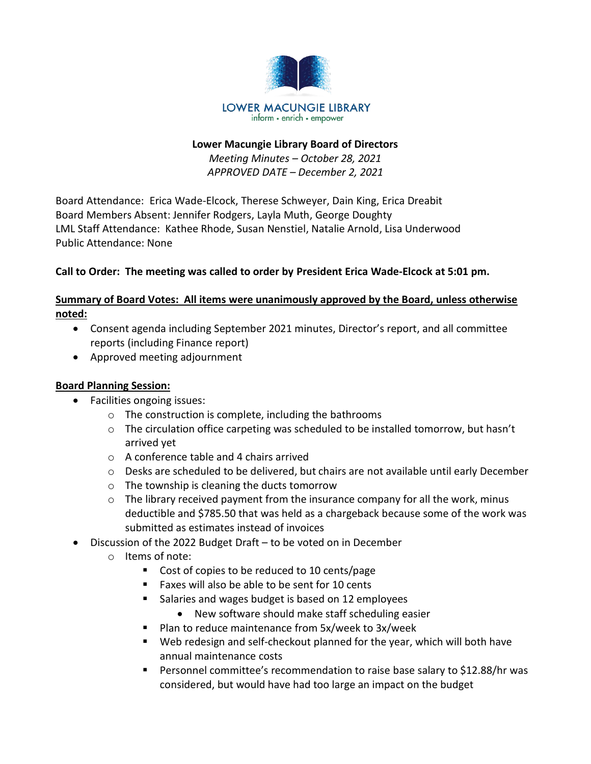

#### **Lower Macungie Library Board of Directors**

*Meeting Minutes – October 28, 2021 APPROVED DATE – December 2, 2021*

Board Attendance: Erica Wade-Elcock, Therese Schweyer, Dain King, Erica Dreabit Board Members Absent: Jennifer Rodgers, Layla Muth, George Doughty LML Staff Attendance: Kathee Rhode, Susan Nenstiel, Natalie Arnold, Lisa Underwood Public Attendance: None

# **Call to Order: The meeting was called to order by President Erica Wade-Elcock at 5:01 pm.**

# **Summary of Board Votes: All items were unanimously approved by the Board, unless otherwise noted:**

- Consent agenda including September 2021 minutes, Director's report, and all committee reports (including Finance report)
- Approved meeting adjournment

# **Board Planning Session:**

- Facilities ongoing issues:
	- o The construction is complete, including the bathrooms
	- o The circulation office carpeting was scheduled to be installed tomorrow, but hasn't arrived yet
	- o A conference table and 4 chairs arrived
	- $\circ$  Desks are scheduled to be delivered, but chairs are not available until early December
	- o The township is cleaning the ducts tomorrow
	- $\circ$  The library received payment from the insurance company for all the work, minus deductible and \$785.50 that was held as a chargeback because some of the work was submitted as estimates instead of invoices
- Discussion of the 2022 Budget Draft to be voted on in December
	- o Items of note:
		- Cost of copies to be reduced to 10 cents/page
		- Faxes will also be able to be sent for 10 cents
		- Salaries and wages budget is based on 12 employees
			- New software should make staff scheduling easier
		- Plan to reduce maintenance from 5x/week to 3x/week
		- Web redesign and self-checkout planned for the year, which will both have annual maintenance costs
		- Personnel committee's recommendation to raise base salary to \$12.88/hr was considered, but would have had too large an impact on the budget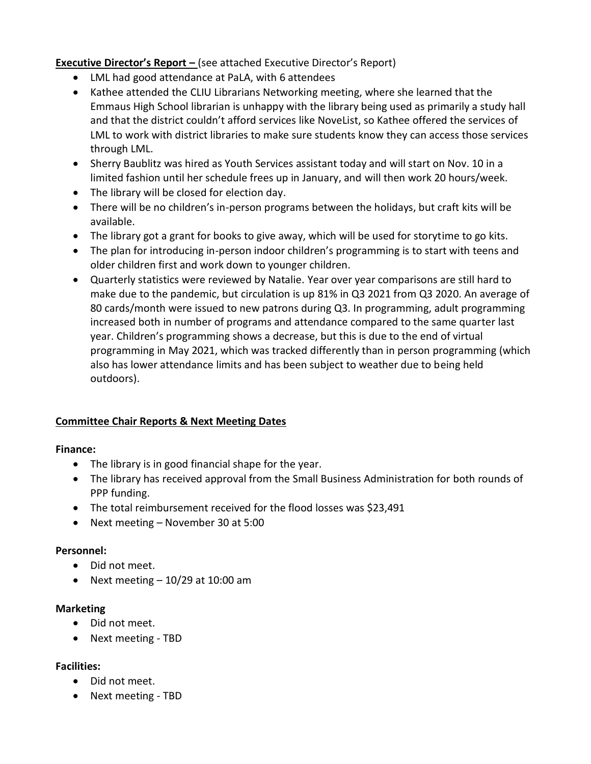# **Executive Director's Report –** (see attached Executive Director's Report)

- LML had good attendance at PaLA, with 6 attendees
- Kathee attended the CLIU Librarians Networking meeting, where she learned that the Emmaus High School librarian is unhappy with the library being used as primarily a study hall and that the district couldn't afford services like NoveList, so Kathee offered the services of LML to work with district libraries to make sure students know they can access those services through LML.
- Sherry Baublitz was hired as Youth Services assistant today and will start on Nov. 10 in a limited fashion until her schedule frees up in January, and will then work 20 hours/week.
- The library will be closed for election day.
- There will be no children's in-person programs between the holidays, but craft kits will be available.
- The library got a grant for books to give away, which will be used for storytime to go kits.
- The plan for introducing in-person indoor children's programming is to start with teens and older children first and work down to younger children.
- Quarterly statistics were reviewed by Natalie. Year over year comparisons are still hard to make due to the pandemic, but circulation is up 81% in Q3 2021 from Q3 2020. An average of 80 cards/month were issued to new patrons during Q3. In programming, adult programming increased both in number of programs and attendance compared to the same quarter last year. Children's programming shows a decrease, but this is due to the end of virtual programming in May 2021, which was tracked differently than in person programming (which also has lower attendance limits and has been subject to weather due to being held outdoors).

# **Committee Chair Reports & Next Meeting Dates**

# **Finance:**

- The library is in good financial shape for the year.
- The library has received approval from the Small Business Administration for both rounds of PPP funding.
- The total reimbursement received for the flood losses was \$23,491
- Next meeting November 30 at 5:00

# **Personnel:**

- Did not meet.
- Next meeting  $-10/29$  at 10:00 am

# **Marketing**

- Did not meet.
- Next meeting TBD

# **Facilities:**

- Did not meet.
- Next meeting TBD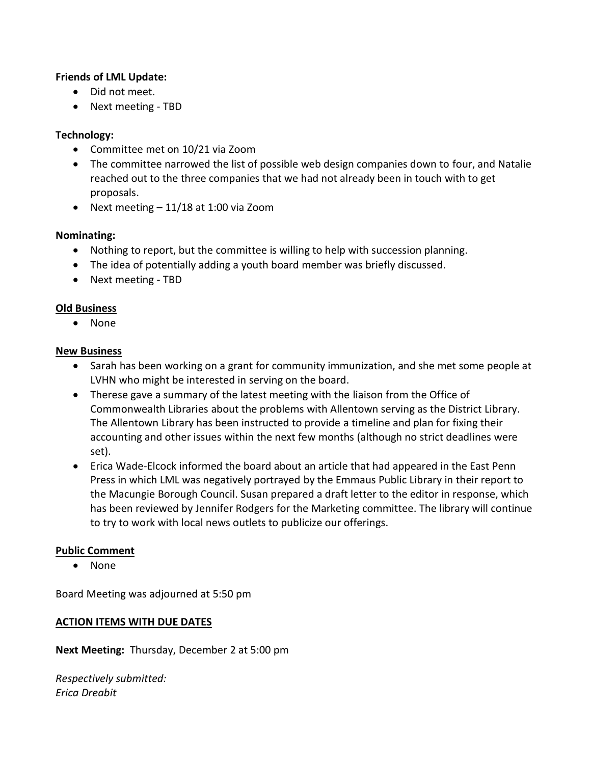#### **Friends of LML Update:**

- Did not meet.
- Next meeting TBD

# **Technology:**

- Committee met on 10/21 via Zoom
- The committee narrowed the list of possible web design companies down to four, and Natalie reached out to the three companies that we had not already been in touch with to get proposals.
- Next meeting 11/18 at 1:00 via Zoom

#### **Nominating:**

- Nothing to report, but the committee is willing to help with succession planning.
- The idea of potentially adding a youth board member was briefly discussed.
- Next meeting TBD

#### **Old Business**

• None

#### **New Business**

- Sarah has been working on a grant for community immunization, and she met some people at LVHN who might be interested in serving on the board.
- Therese gave a summary of the latest meeting with the liaison from the Office of Commonwealth Libraries about the problems with Allentown serving as the District Library. The Allentown Library has been instructed to provide a timeline and plan for fixing their accounting and other issues within the next few months (although no strict deadlines were set).
- Erica Wade-Elcock informed the board about an article that had appeared in the East Penn Press in which LML was negatively portrayed by the Emmaus Public Library in their report to the Macungie Borough Council. Susan prepared a draft letter to the editor in response, which has been reviewed by Jennifer Rodgers for the Marketing committee. The library will continue to try to work with local news outlets to publicize our offerings.

# **Public Comment**

• None

Board Meeting was adjourned at 5:50 pm

#### **ACTION ITEMS WITH DUE DATES**

**Next Meeting:** Thursday, December 2 at 5:00 pm

*Respectively submitted: Erica Dreabit*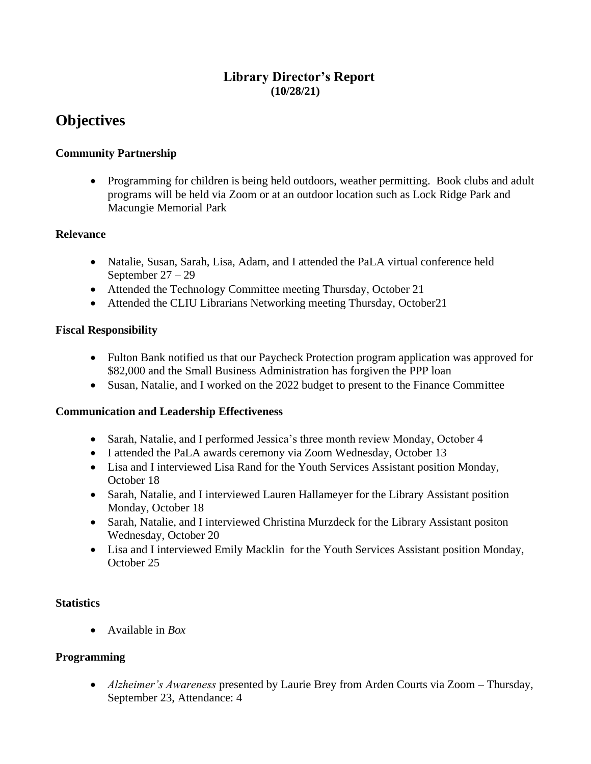# **Library Director's Report (10/28/21)**

# **Objectives**

# **Community Partnership**

• Programming for children is being held outdoors, weather permitting. Book clubs and adult programs will be held via Zoom or at an outdoor location such as Lock Ridge Park and Macungie Memorial Park

# **Relevance**

- Natalie, Susan, Sarah, Lisa, Adam, and I attended the PaLA virtual conference held September 27 – 29
- Attended the Technology Committee meeting Thursday, October 21
- Attended the CLIU Librarians Networking meeting Thursday, October 21

# **Fiscal Responsibility**

- Fulton Bank notified us that our Paycheck Protection program application was approved for \$82,000 and the Small Business Administration has forgiven the PPP loan
- Susan, Natalie, and I worked on the 2022 budget to present to the Finance Committee

# **Communication and Leadership Effectiveness**

- Sarah, Natalie, and I performed Jessica's three month review Monday, October 4
- I attended the PaLA awards ceremony via Zoom Wednesday, October 13
- Lisa and I interviewed Lisa Rand for the Youth Services Assistant position Monday, October 18
- Sarah, Natalie, and I interviewed Lauren Hallameyer for the Library Assistant position Monday, October 18
- Sarah, Natalie, and I interviewed Christina Murzdeck for the Library Assistant positon Wednesday, October 20
- Lisa and I interviewed Emily Macklin for the Youth Services Assistant position Monday, October 25

# **Statistics**

• Available in *Box*

# **Programming**

• *Alzheimer's Awareness* presented by Laurie Brey from Arden Courts via Zoom – Thursday, September 23, Attendance: 4